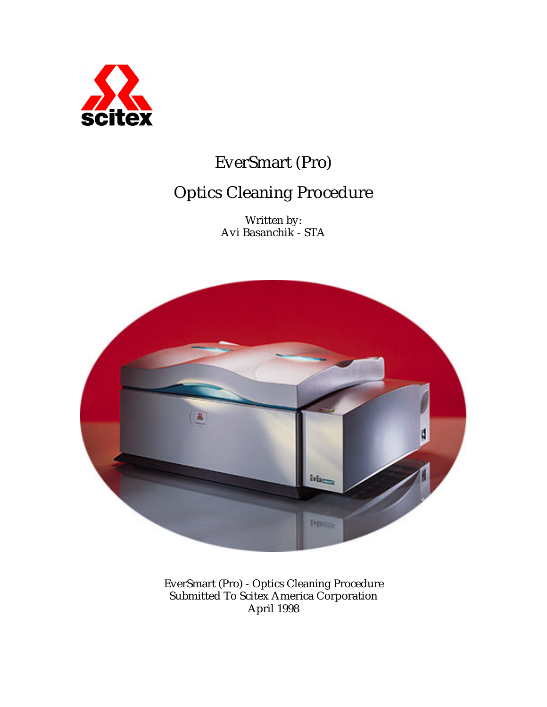

# EverSmart (Pro)

# Optics Cleaning Procedure

Written by: Avi Basanchik - STA



EverSmart (Pro) - Optics Cleaning Procedure Submitted To Scitex America Corporation April 1998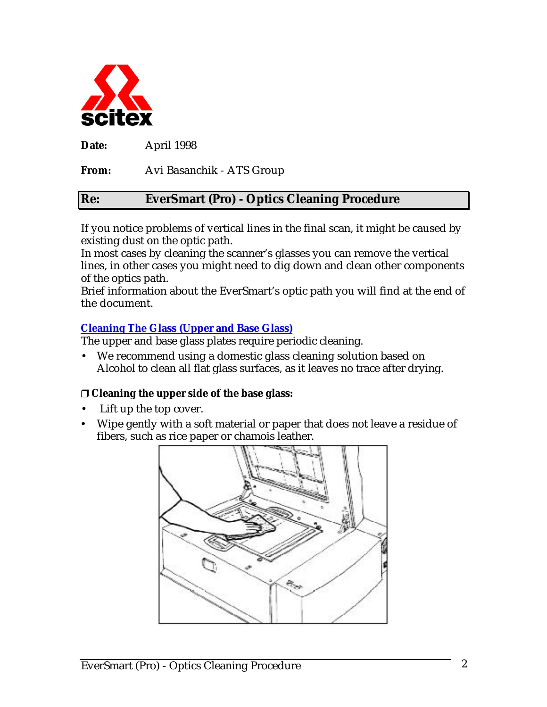

**Date:** April 1998

**From:** Avi Basanchik - ATS Group

#### **Re: EverSmart (Pro) - Optics Cleaning Procedure**

If you notice problems of vertical lines in the final scan, it might be caused by existing dust on the optic path.

In most cases by cleaning the scanner's glasses you can remove the vertical lines, in other cases you might need to dig down and clean other components of the optics path.

Brief information about the EverSmart's optic path you will find at the end of the document.

#### **Cleaning The Glass (Upper and Base Glass)**

The upper and base glass plates require periodic cleaning.

• We recommend using a domestic glass cleaning solution based on Alcohol to clean all flat glass surfaces, as it leaves no trace after drying.

#### **Cleaning the upper side of the base glass:**

- Lift up the top cover.
- Wipe gently with a soft material or paper that does not leave a residue of fibers, such as rice paper or chamois leather.

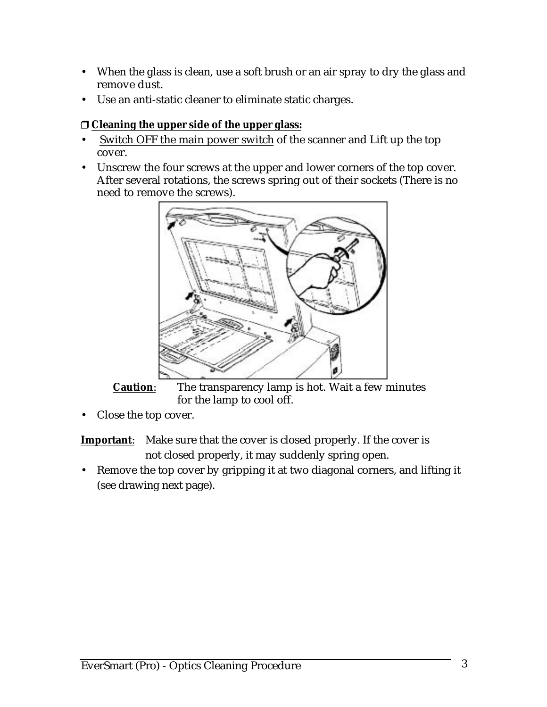- When the glass is clean, use a soft brush or an air spray to dry the glass and remove dust.
- Use an anti-static cleaner to eliminate static charges.

#### **Cleaning the upper side of the upper glass:**

- Switch OFF the main power switch of the scanner and Lift up the top cover.
- Unscrew the four screws at the upper and lower corners of the top cover. After several rotations, the screws spring out of their sockets (There is no need to remove the screws).



**Caution:** The transparency lamp is hot. Wait a few minutes for the lamp to cool off.

Close the top cover.

**Important:** Make sure that the cover is closed properly. If the cover is not closed properly, it may suddenly spring open.

• Remove the top cover by gripping it at two diagonal corners, and lifting it (see drawing next page).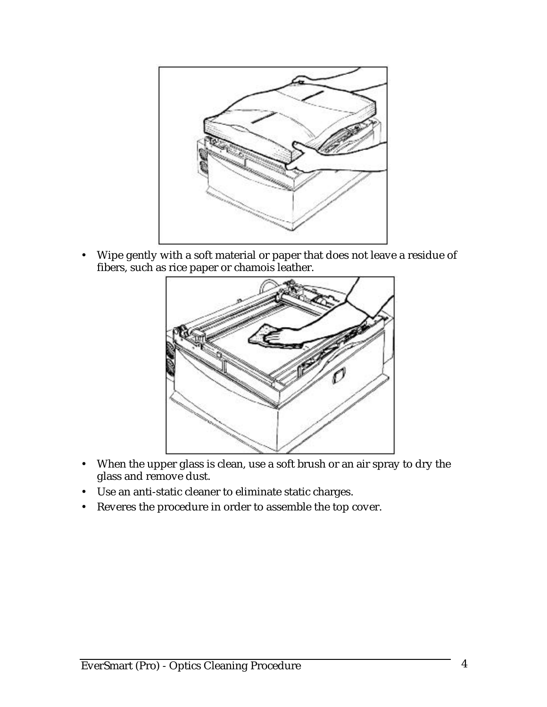

• Wipe gently with a soft material or paper that does not leave a residue of fibers, such as rice paper or chamois leather.



- When the upper glass is clean, use a soft brush or an air spray to dry the glass and remove dust.
- Use an anti-static cleaner to eliminate static charges.
- Reveres the procedure in order to assemble the top cover.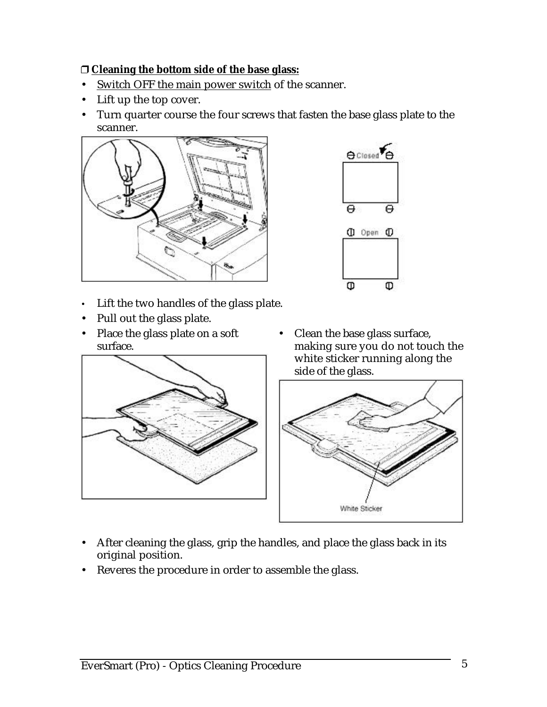#### **Cleaning the bottom side of the base glass:**

- Switch OFF the main power switch of the scanner.
- Lift up the top cover.
- Turn quarter course the four screws that fasten the base glass plate to the scanner.



- Lift the two handles of the glass plate.
- Pull out the glass plate.
- Place the glass plate on a soft surface.





• Clean the base glass surface, making sure you do not touch the white sticker running along the side of the glass.



- After cleaning the glass, grip the handles, and place the glass back in its original position.
- Reveres the procedure in order to assemble the glass.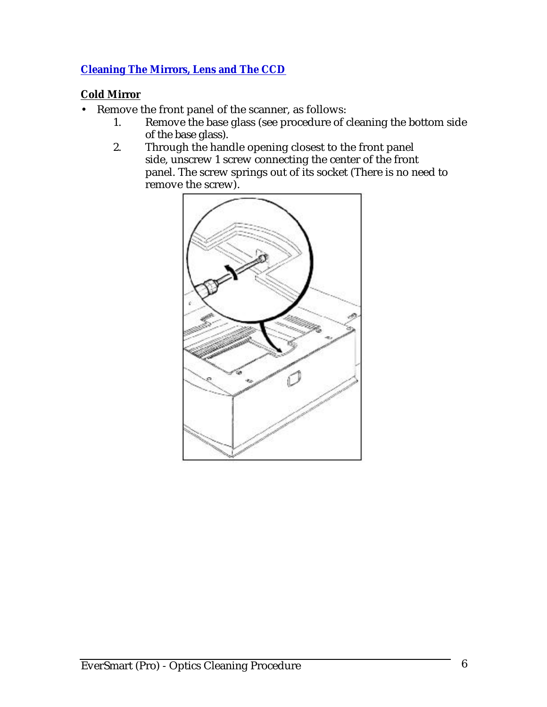#### **Cleaning The Mirrors, Lens and The CCD**

#### **Cold Mirror**

- Remove the front panel of the scanner, as follows:
	- 1. Remove the base glass (see procedure of cleaning the bottom side of the base glass).
	- 2. Through the handle opening closest to the front panel side, unscrew 1 screw connecting the center of the front panel. The screw springs out of its socket (There is no need to remove the screw).

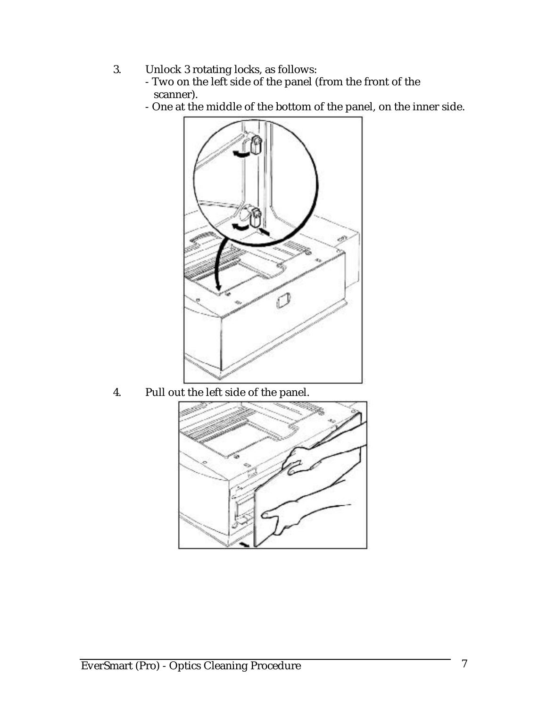- 3. Unlock 3 rotating locks, as follows:
	- Two on the left side of the panel (from the front of the scanner).
	- One at the middle of the bottom of the panel, on the inner side.



4. Pull out the left side of the panel.

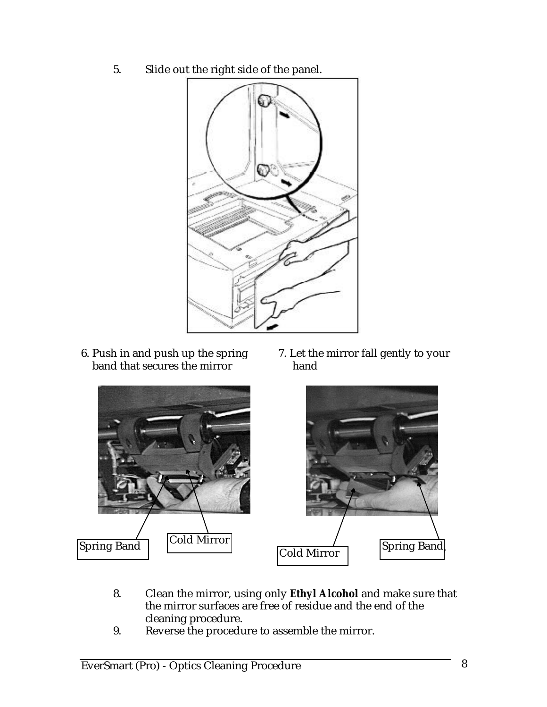5. Slide out the right side of the panel.



- 6. Push in and push up the spring band that secures the mirror
- 7. Let the mirror fall gently to your hand



- 8. Clean the mirror, using only **Ethyl Alcohol** and make sure that the mirror surfaces are free of residue and the end of the cleaning procedure.
- 9. Reverse the procedure to assemble the mirror.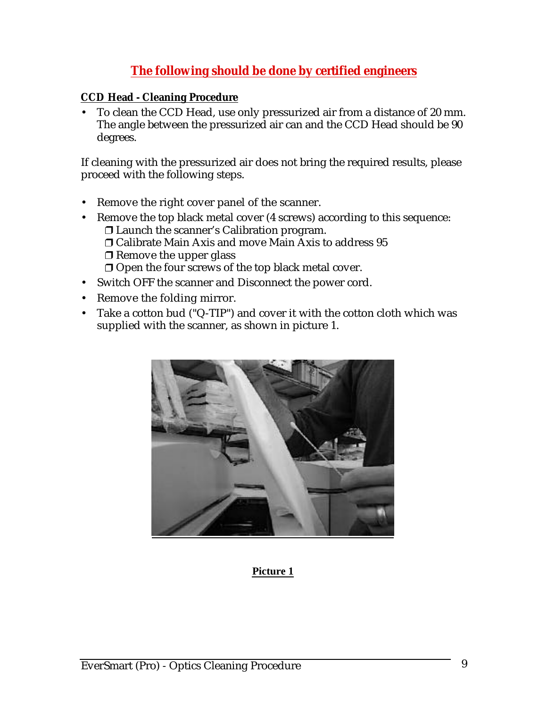## **The following should be done by certified engineers**

#### **CCD Head - Cleaning Procedure**

• To clean the CCD Head, use only pressurized air from a distance of 20 mm. The angle between the pressurized air can and the CCD Head should be 90 degrees.

If cleaning with the pressurized air does not bring the required results, please proceed with the following steps.

- Remove the right cover panel of the scanner.
- Remove the top black metal cover (4 screws) according to this sequence: Launch the scanner's Calibration program. Calibrate Main Axis and move Main Axis to address 95  $\Box$  Remove the upper glass  $\Box$  Open the four screws of the top black metal cover.
- Switch OFF the scanner and Disconnect the power cord.
- Remove the folding mirror.
- Take a cotton bud ("Q-TIP") and cover it with the cotton cloth which was supplied with the scanner, as shown in picture 1.

![](_page_8_Picture_9.jpeg)

#### **Picture 1**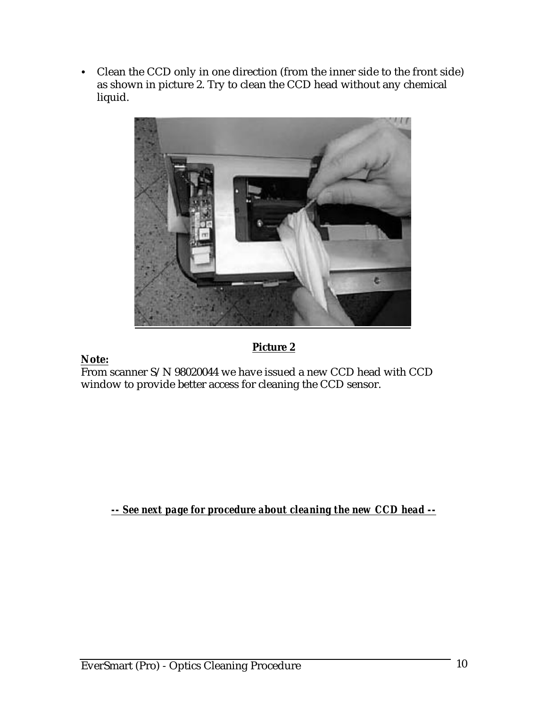Clean the CCD only in one direction (from the inner side to the front side) as shown in picture 2. Try to clean the CCD head without any chemical liquid.

![](_page_9_Picture_1.jpeg)

### **Picture 2**

#### **Note:**

From scanner S/N 98020044 we have issued a new CCD head with CCD window to provide better access for cleaning the CCD sensor.

*-- See next page for procedure about cleaning the new CCD head --*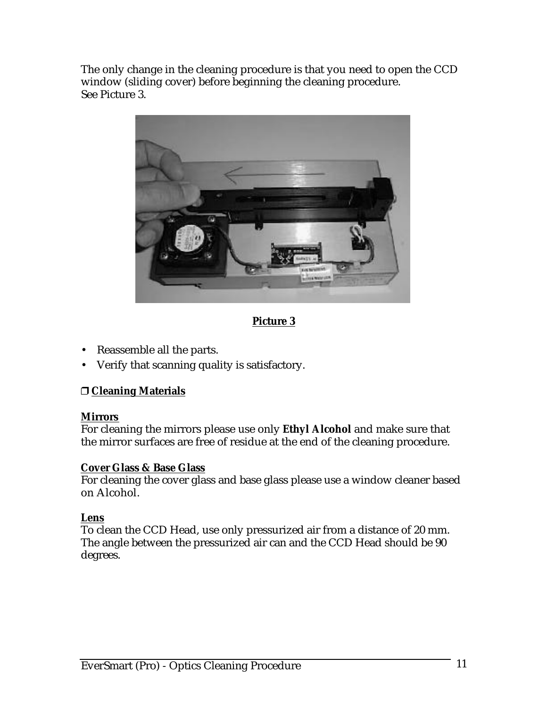The only change in the cleaning procedure is that you need to open the CCD window (sliding cover) before beginning the cleaning procedure. See Picture 3.

![](_page_10_Picture_1.jpeg)

 **Picture 3** 

- Reassemble all the parts.
- Verify that scanning quality is satisfactory.

#### **Cleaning Materials**

#### **Mirrors**

For cleaning the mirrors please use only **Ethyl Alcohol** and make sure that the mirror surfaces are free of residue at the end of the cleaning procedure.

#### **Cover Glass & Base Glass**

For cleaning the cover glass and base glass please use a window cleaner based on Alcohol.

#### **Lens**

To clean the CCD Head, use only pressurized air from a distance of 20 mm. The angle between the pressurized air can and the CCD Head should be 90 degrees.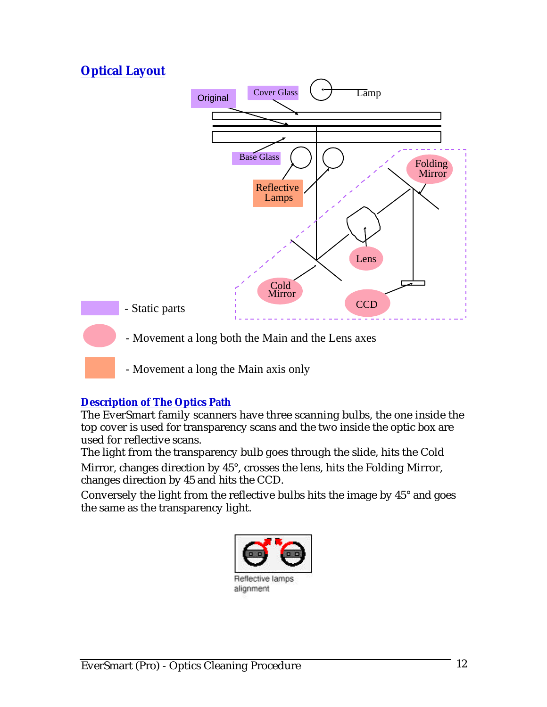## **Optical Layout**

![](_page_11_Figure_1.jpeg)

- Movement a long the Main axis only

#### **Description of The Optics Path**

The EverSmart family scanners have three scanning bulbs, the one inside the top cover is used for transparency scans and the two inside the optic box are used for reflective scans.

The light from the transparency bulb goes through the slide, hits the Cold Mirror, changes direction by 45°, crosses the lens, hits the Folding Mirror, changes direction by 45 and hits the CCD.

Conversely the light from the reflective bulbs hits the image by 45° and goes the same as the transparency light.

![](_page_11_Picture_7.jpeg)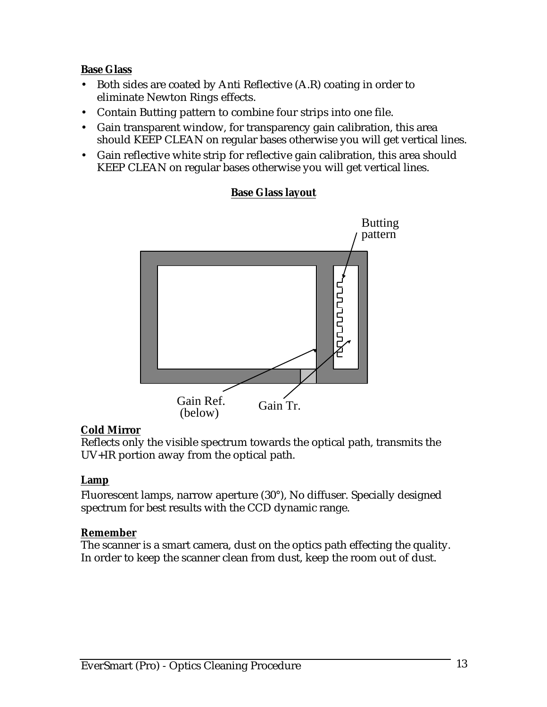#### **Base Glass**

- Both sides are coated by Anti Reflective (A.R) coating in order to eliminate Newton Rings effects.
- Contain Butting pattern to combine four strips into one file.
- Gain transparent window, for transparency gain calibration, this area should KEEP CLEAN on regular bases otherwise you will get vertical lines.
- Gain reflective white strip for reflective gain calibration, this area should KEEP CLEAN on regular bases otherwise you will get vertical lines.

# Butting pattern րորան Gain Ref. Gain Tr. (below)

#### **Base Glass layout**

#### **Cold Mirror**

Reflects only the visible spectrum towards the optical path, transmits the UV+IR portion away from the optical path.

#### **Lamp**

Fluorescent lamps, narrow aperture (30°), No diffuser. Specially designed spectrum for best results with the CCD dynamic range.

#### **Remember**

The scanner is a smart camera, dust on the optics path effecting the quality. In order to keep the scanner clean from dust, keep the room out of dust.